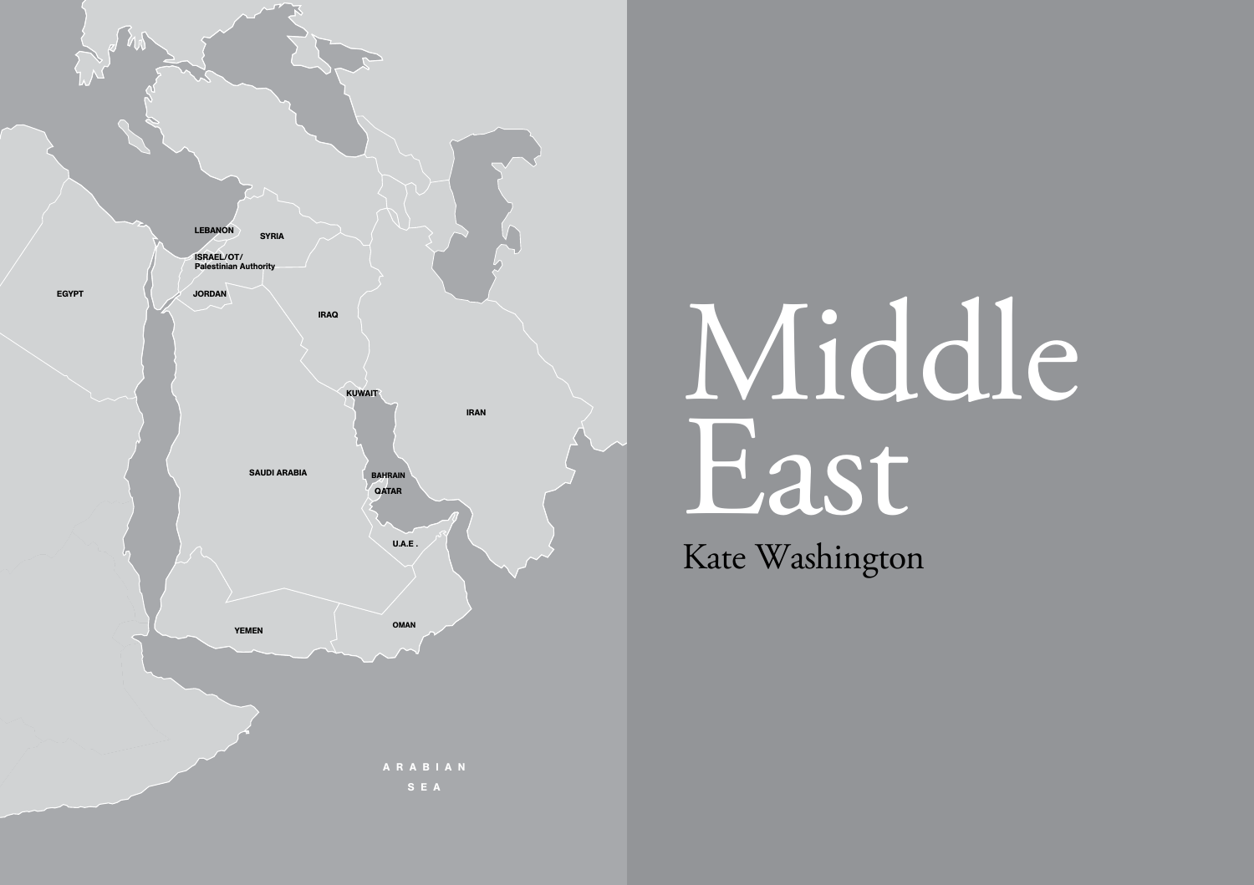

# Middle East

Kate Washington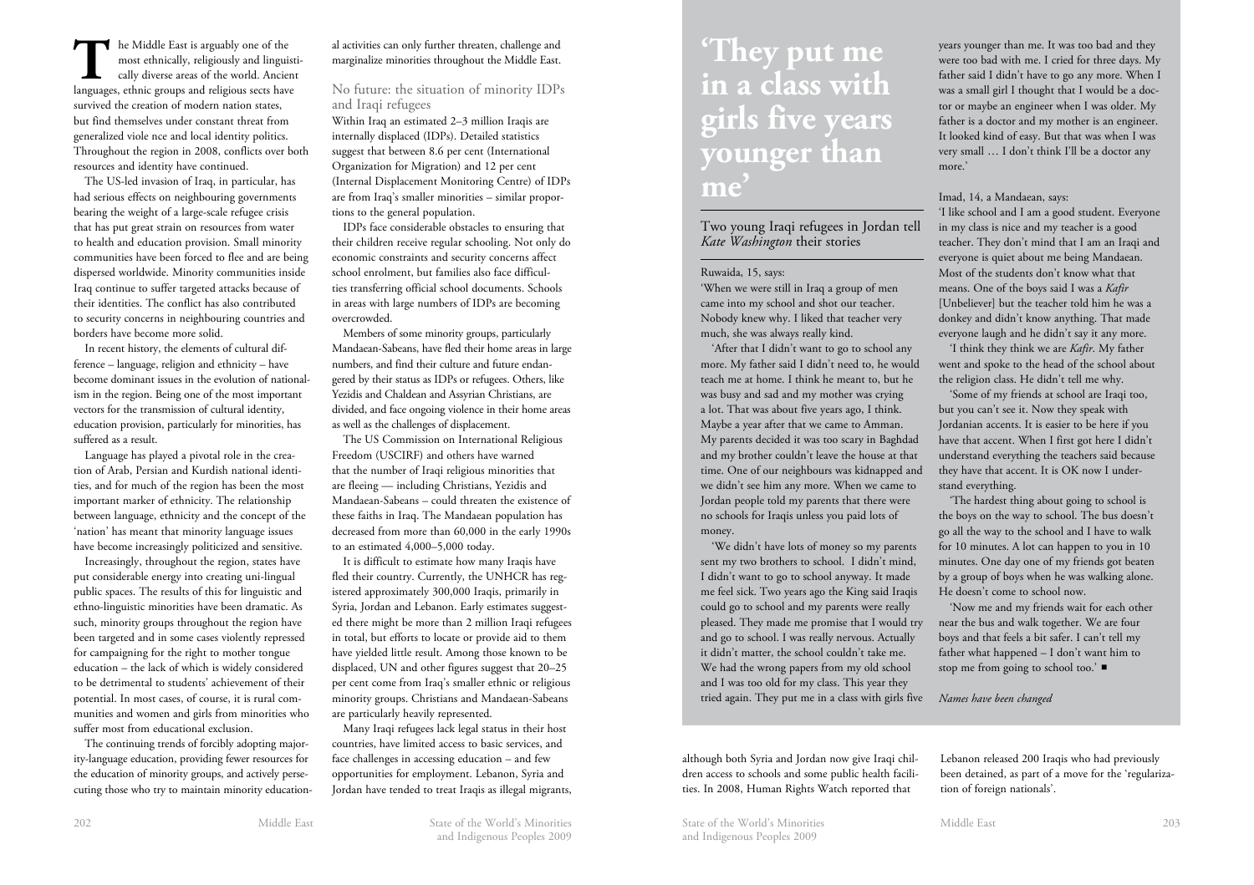The Middle East is arguably one of the most ethnically, religiously and linguistically diverse areas of the world. Ancient languages, ethnic groups and religious sects have survived the creation of modern nation states, but find themselves under constant threat from generalized viole nce and local identity politics. Throughout the region in 2008, conflicts over both resources and identity have continued.

The US-led invasion of Iraq, in particular, has had serious effects on neighbouring governments bearing the weight of a large-scale refugee crisis that has put great strain on resources from water to health and education provision. Small minority communities have been forced to flee and are being dispersed worldwide. Minority communities inside Iraq continue to suffer targeted attacks because of their identities. The conflict has also contributed to security concerns in neighbouring countries and borders have become more solid.

In recent history, the elements of cultural difference – language, religion and ethnicity – have become dominant issues in the evolution of nationalism in the region. Being one of the most important vectors for the transmission of cultural identity, education provision, particularly for minorities, has suffered as a result.

Language has played a pivotal role in the creation of Arab, Persian and Kurdish national identities, and for much of the region has been the most important marker of ethnicity. The relationship between language, ethnicity and the concept of the 'nation' has meant that minority language issues have become increasingly politicized and sensitive.

Increasingly, throughout the region, states have put considerable energy into creating uni-lingual public spaces. The results of this for linguistic and ethno-linguistic minorities have been dramatic. As such, minority groups throughout the region have been targeted and in some cases violently repressed for campaigning for the right to mother tongue education – the lack of which is widely considered to be detrimental to students' achievement of their potential. In most cases, of course, it is rural communities and women and girls from minorities who suffer most from educational exclusion.

The continuing trends of forcibly adopting majority-language education, providing fewer resources for the education of minority groups, and actively persecuting those who try to maintain minority educational activities can only further threaten, challenge and marginalize minorities throughout the Middle East.

No future: the situation of minority IDPs and Iraqi refugees

Within Iraq an estimated 2–3 million Iraqis are internally displaced (IDPs). Detailed statistics suggest that between 8.6 per cent (International Organization for Migration) and 12 per cent (Internal Displacement Monitoring Centre) of IDPs are from Iraq's smaller minorities – similar proportions to the general population.

IDPs face considerable obstacles to ensuring that their children receive regular schooling. Not only do economic constraints and security concerns affect school enrolment, but families also face difficulties transferring official school documents. Schools in areas with large numbers of IDPs are becoming overcrowded.

Members of some minority groups, particularly Mandaean-Sabeans, have fled their home areas in large numbers, and find their culture and future endangered by their status as IDPs or refugees. Others, like Yezidis and Chaldean and Assyrian Christians, are divided, and face ongoing violence in their home areas as well as the challenges of displacement.

The US Commission on International Religious Freedom (USCIRF) and others have warned that the number of Iraqi religious minorities that are fleeing — including Christians, Yezidis and Mandaean-Sabeans – could threaten the existence of these faiths in Iraq. The Mandaean population has decreased from more than 60,000 in the early 1990s to an estimated 4,000–5,000 today.

It is difficult to estimate how many Iraqis have fled their country. Currently, the UNHCR has registered approximately 300,000 Iraqis, primarily in Syria, Jordan and Lebanon. Early estimates suggested there might be more than 2 million Iraqi refugees in total, but efforts to locate or provide aid to them have yielded little result. Among those known to be displaced, UN and other figures suggest that 20–25 per cent come from Iraq's smaller ethnic or religious minority groups. Christians and Mandaean-Sabeans are particularly heavily represented.

Many Iraqi refugees lack legal status in their host countries, have limited access to basic services, and face challenges in accessing education – and few opportunities for employment. Lebanon, Syria and Jordan have tended to treat Iraqis as illegal migrants,

# **'They put me in a class with girls five years younger than me'**

Two young Iraqi refugees in Jordan tell *Kate Washington* their stories

#### Ruwaida, 15, says:

'When we were still in Iraq a group of men came into my school and shot our teacher. Nobody knew why. I liked that teacher very much, she was always really kind.

'After that I didn't want to go to school any more. My father said I didn't need to, he would teach me at home. I think he meant to, but he was busy and sad and my mother was crying a lot. That was about five years ago, I think. Maybe a year after that we came to Amman. My parents decided it was too scary in Baghdad and my brother couldn't leave the house at that time. One of our neighbours was kidnapped and we didn't see him any more. When we came to Jordan people told my parents that there were no schools for Iraqis unless you paid lots of money.

'We didn't have lots of money so my parents sent my two brothers to school. I didn't mind, I didn't want to go to school anyway. It made me feel sick. Two years ago the King said Iraqis could go to school and my parents were really pleased. They made me promise that I would try and go to school. I was really nervous. Actually it didn't matter, the school couldn't take me. We had the wrong papers from my old school and I was too old for my class. This year they tried again. They put me in a class with girls five *Names have been changed*

years younger than me. It was too bad and they were too bad with me. I cried for three days. My father said I didn't have to go any more. When I was a small girl I thought that I would be a doctor or maybe an engineer when I was older. My father is a doctor and my mother is an engineer. It looked kind of easy. But that was when I was very small … I don't think I'll be a doctor any more.'

#### Imad, 14, a Mandaean, says:

'I like school and I am a good student. Everyone in my class is nice and my teacher is a good teacher. They don't mind that I am an Iraqi and everyone is quiet about me being Mandaean. Most of the students don't know what that means. One of the boys said I was a *Kafir* [Unbeliever] but the teacher told him he was a donkey and didn't know anything. That made everyone laugh and he didn't say it any more.

'I think they think we are *Kafir*. My father went and spoke to the head of the school about the religion class. He didn't tell me why.

'Some of my friends at school are Iraqi too, but you can't see it. Now they speak with Jordanian accents. It is easier to be here if you have that accent. When I first got here I didn't understand everything the teachers said because they have that accent. It is OK now I understand everything.

'The hardest thing about going to school is the boys on the way to school. The bus doesn't go all the way to the school and I have to walk for 10 minutes. A lot can happen to you in 10 minutes. One day one of my friends got beaten by a group of boys when he was walking alone. He doesn't come to school now.

'Now me and my friends wait for each other near the bus and walk together. We are four boys and that feels a bit safer. I can't tell my father what happened – I don't want him to stop me from going to school too.' $\blacksquare$ 

although both Syria and Jordan now give Iraqi children access to schools and some public health facilities. In 2008, Human Rights Watch reported that

Lebanon released 200 Iraqis who had previously been detained, as part of a move for the 'regularization of foreign nationals'.

Middle East State of the World's Minorities 202 State of the World's Minorities Middle East and Indigenous Peoples 2009

and Indigenous Peoples 2009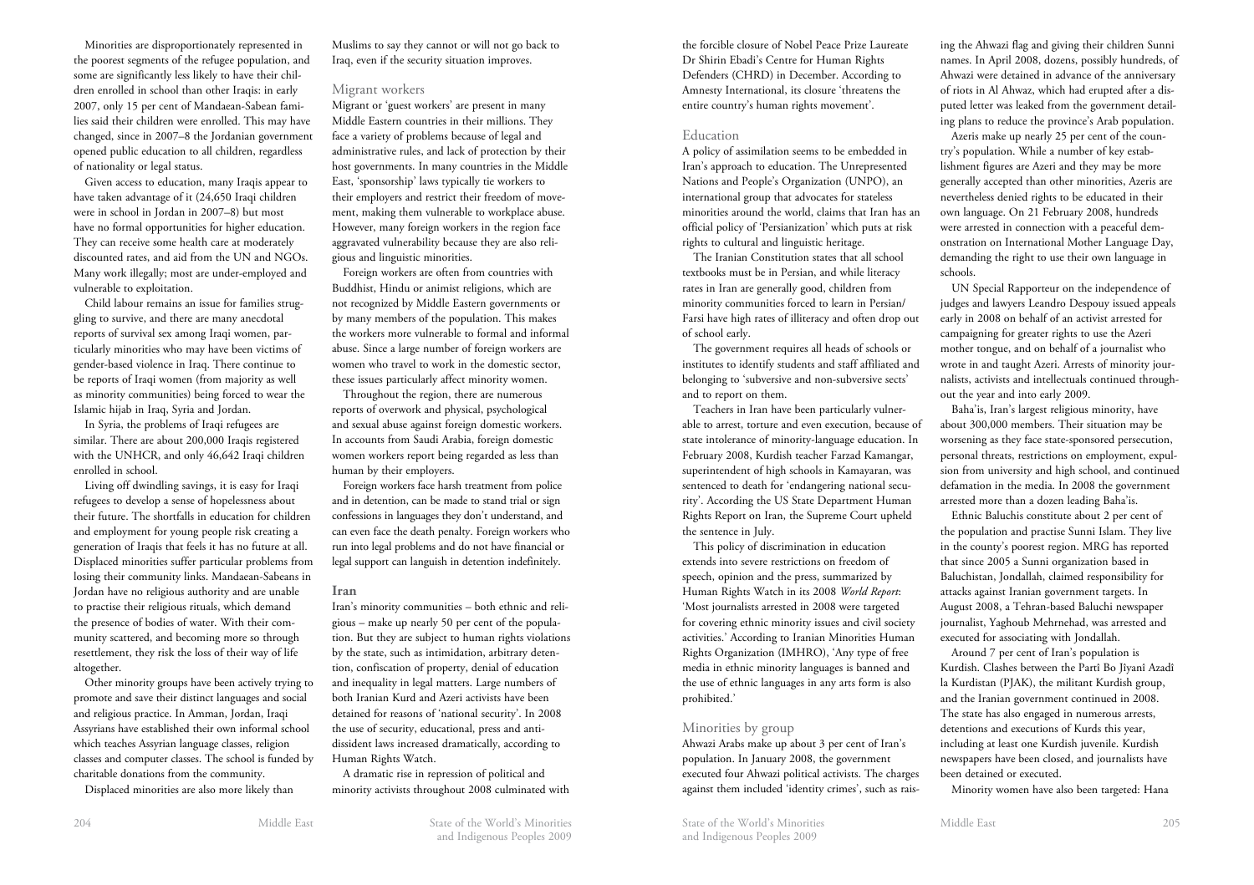Minorities are disproportionately represented in the poorest segments of the refugee population, and some are significantly less likely to have their children enrolled in school than other Iraqis: in early 2007, only 15 per cent of Mandaean-Sabean families said their children were enrolled. This may have changed, since in 2007–8 the Jordanian government opened public education to all children, regardless of nationality or legal status.

Given access to education, many Iraqis appear to have taken advantage of it (24,650 Iraqi children were in school in Jordan in 2007–8) but most have no formal opportunities for higher education. They can receive some health care at moderately discounted rates, and aid from the UN and NGOs. Many work illegally; most are under-employed and vulnerable to exploitation.

Child labour remains an issue for families struggling to survive, and there are many anecdotal reports of survival sex among Iraqi women, particularly minorities who may have been victims of gender-based violence in Iraq. There continue to be reports of Iraqi women (from majority as well as minority communities) being forced to wear the Islamic hijab in Iraq, Syria and Jordan.

In Syria, the problems of Iraqi refugees are similar. There are about 200,000 Iraqis registered with the UNHCR, and only 46,642 Iraqi children enrolled in school.

Living off dwindling savings, it is easy for Iraqi refugees to develop a sense of hopelessness about their future. The shortfalls in education for children and employment for young people risk creating a generation of Iraqis that feels it has no future at all. Displaced minorities suffer particular problems from losing their community links. Mandaean-Sabeans in Jordan have no religious authority and are unable to practise their religious rituals, which demand the presence of bodies of water. With their community scattered, and becoming more so through resettlement, they risk the loss of their way of life altogether.

Other minority groups have been actively trying to promote and save their distinct languages and social and religious practice. In Amman, Jordan, Iraqi Assyrians have established their own informal school which teaches Assyrian language classes, religion classes and computer classes. The school is funded by charitable donations from the community.

Displaced minorities are also more likely than

Muslims to say they cannot or will not go back to Iraq, even if the security situation improves.

#### Migrant workers

Migrant or 'guest workers' are present in many Middle Eastern countries in their millions. They face a variety of problems because of legal and administrative rules, and lack of protection by their host governments. In many countries in the Middle East, 'sponsorship' laws typically tie workers to their employers and restrict their freedom of movement, making them vulnerable to workplace abuse. However, many foreign workers in the region face aggravated vulnerability because they are also religious and linguistic minorities.

Foreign workers are often from countries with Buddhist, Hindu or animist religions, which are not recognized by Middle Eastern governments or by many members of the population. This makes the workers more vulnerable to formal and informal abuse. Since a large number of foreign workers are women who travel to work in the domestic sector, these issues particularly affect minority women.

Throughout the region, there are numerous reports of overwork and physical, psychological and sexual abuse against foreign domestic workers. In accounts from Saudi Arabia, foreign domestic women workers report being regarded as less than human by their employers.

Foreign workers face harsh treatment from police and in detention, can be made to stand trial or sign confessions in languages they don't understand, and can even face the death penalty. Foreign workers who run into legal problems and do not have financial or legal support can languish in detention indefinitely.

#### **Iran**

Iran's minority communities – both ethnic and religious – make up nearly 50 per cent of the population. But they are subject to human rights violations by the state, such as intimidation, arbitrary detention, confiscation of property, denial of education and inequality in legal matters. Large numbers of both Iranian Kurd and Azeri activists have been detained for reasons of 'national security'. In 2008 the use of security, educational, press and antidissident laws increased dramatically, according to Human Rights Watch.

A dramatic rise in repression of political and minority activists throughout 2008 culminated with the forcible closure of Nobel Peace Prize Laureate Dr Shirin Ebadi's Centre for Human Rights Defenders (CHRD) in December. According to Amnesty International, its closure 'threatens the entire country's human rights movement'.

#### Education

A policy of assimilation seems to be embedded in Iran's approach to education. The Unrepresented Nations and People's Organization (UNPO), an international group that advocates for stateless minorities around the world, claims that Iran has an official policy of 'Persianization' which puts at risk rights to cultural and linguistic heritage.

The Iranian Constitution states that all school textbooks must be in Persian, and while literacy rates in Iran are generally good, children from minority communities forced to learn in Persian/ Farsi have high rates of illiteracy and often drop out of school early.

The government requires all heads of schools or institutes to identify students and staff affiliated and belonging to 'subversive and non-subversive sects' and to report on them.

Teachers in Iran have been particularly vulnerable to arrest, torture and even execution, because of state intolerance of minority-language education. In February 2008, Kurdish teacher Farzad Kamangar, superintendent of high schools in Kamayaran, was sentenced to death for 'endangering national security'. According the US State Department Human Rights Report on Iran, the Supreme Court upheld the sentence in July.

This policy of discrimination in education extends into severe restrictions on freedom of speech, opinion and the press, summarized by Human Rights Watch in its 2008 *World Report*: 'Most journalists arrested in 2008 were targeted for covering ethnic minority issues and civil society activities.' According to Iranian Minorities Human Rights Organization (IMHRO), 'Any type of free media in ethnic minority languages is banned and the use of ethnic languages in any arts form is also prohibited.'

#### Minorities by group

Ahwazi Arabs make up about 3 per cent of Iran's population. In January 2008, the government executed four Ahwazi political activists. The charges against them included 'identity crimes', such as raising the Ahwazi flag and giving their children Sunni names. In April 2008, dozens, possibly hundreds, of Ahwazi were detained in advance of the anniversary of riots in Al Ahwaz, which had erupted after a disputed letter was leaked from the government detailing plans to reduce the province's Arab population.

Azeris make up nearly 25 per cent of the country's population. While a number of key establishment figures are Azeri and they may be more generally accepted than other minorities, Azeris are nevertheless denied rights to be educated in their own language. On 21 February 2008, hundreds were arrested in connection with a peaceful demonstration on International Mother Language Day, demanding the right to use their own language in schools.

UN Special Rapporteur on the independence of judges and lawyers Leandro Despouy issued appeals early in 2008 on behalf of an activist arrested for campaigning for greater rights to use the Azeri mother tongue, and on behalf of a journalist who wrote in and taught Azeri. Arrests of minority journalists, activists and intellectuals continued throughout the year and into early 2009.

Baha'is, Iran's largest religious minority, have about 300,000 members. Their situation may be worsening as they face state-sponsored persecution, personal threats, restrictions on employment, expulsion from university and high school, and continued defamation in the media. In 2008 the government arrested more than a dozen leading Baha'is.

Ethnic Baluchis constitute about 2 per cent of the population and practise Sunni Islam. They live in the county's poorest region. MRG has reported that since 2005 a Sunni organization based in Baluchistan, Jondallah, claimed responsibility for attacks against Iranian government targets. In August 2008, a Tehran-based Baluchi newspaper journalist, Yaghoub Mehrnehad, was arrested and executed for associating with Jondallah.

Around 7 per cent of Iran's population is Kurdish. Clashes between the Partî Bo Jîyanî Azadî la Kurdistan (PJAK), the militant Kurdish group, and the Iranian government continued in 2008. The state has also engaged in numerous arrests, detentions and executions of Kurds this year, including at least one Kurdish juvenile. Kurdish newspapers have been closed, and journalists have been detained or executed.

Minority women have also been targeted: Hana

and Indigenous Peoples 2009

Middle East State of the World's Minorities 204 State of the World's Minorities Middle East and Indigenous Peoples 2009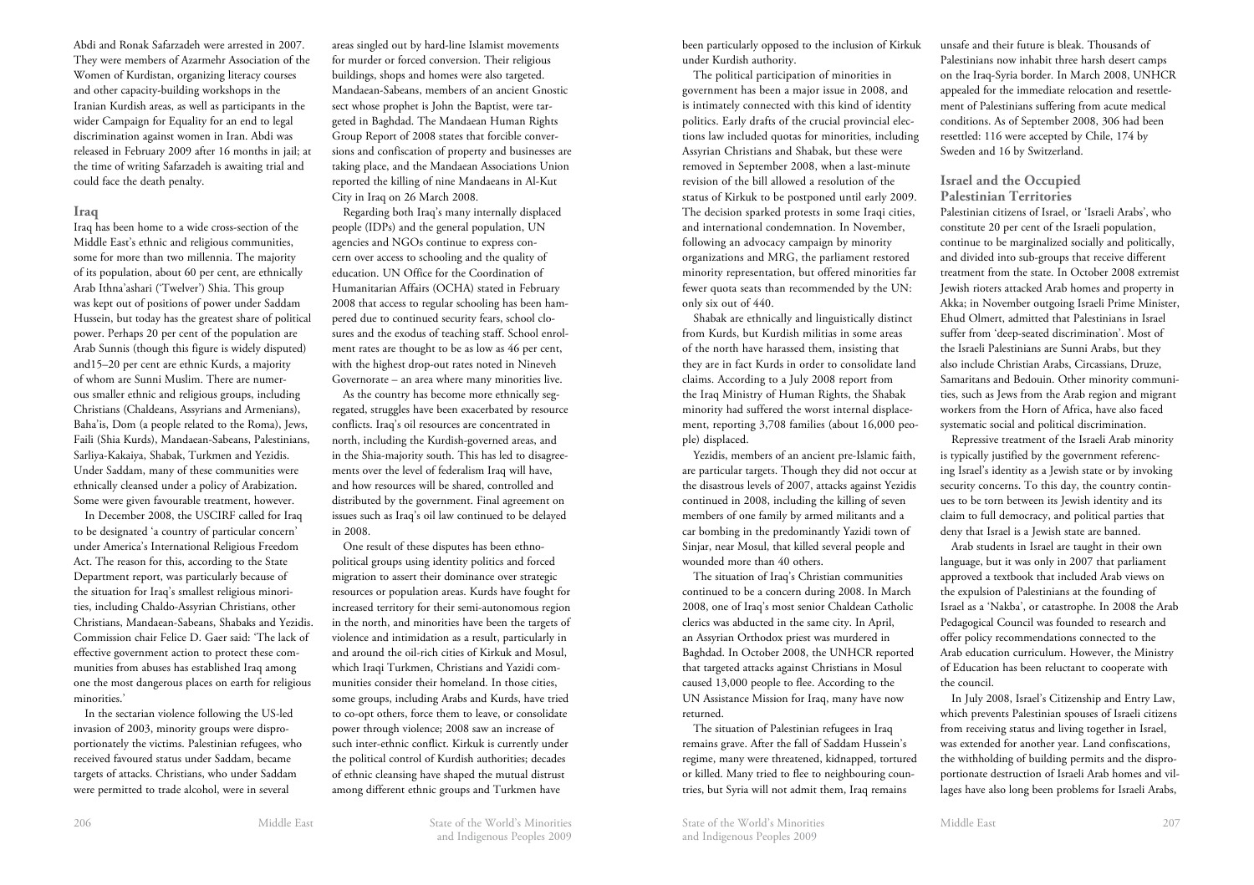Abdi and Ronak Safarzadeh were arrested in 2007. They were members of Azarmehr Association of the Women of Kurdistan, organizing literacy courses and other capacity-building workshops in the Iranian Kurdish areas, as well as participants in the wider Campaign for Equality for an end to legal discrimination against women in Iran. Abdi was released in February 2009 after 16 months in jail; at the time of writing Safarzadeh is awaiting trial and could face the death penalty.

#### **Iraq**

Iraq has been home to a wide cross-section of the Middle East's ethnic and religious communities, some for more than two millennia. The majority of its population, about 60 per cent, are ethnically Arab Ithna'ashari ('Twelver') Shia. This group was kept out of positions of power under Saddam Hussein, but today has the greatest share of political power. Perhaps 20 per cent of the population are Arab Sunnis (though this figure is widely disputed) and15–20 per cent are ethnic Kurds, a majority of whom are Sunni Muslim. There are numerous smaller ethnic and religious groups, including Christians (Chaldeans, Assyrians and Armenians), Baha'is, Dom (a people related to the Roma), Jews, Faili (Shia Kurds), Mandaean-Sabeans, Palestinians, Sarliya-Kakaiya, Shabak, Turkmen and Yezidis. Under Saddam, many of these communities were ethnically cleansed under a policy of Arabization. Some were given favourable treatment, however.

In December 2008, the USCIRF called for Iraq to be designated 'a country of particular concern' under America's International Religious Freedom Act. The reason for this, according to the State Department report, was particularly because of the situation for Iraq's smallest religious minorities, including Chaldo-Assyrian Christians, other Christians, Mandaean-Sabeans, Shabaks and Yezidis. Commission chair Felice D. Gaer said: 'The lack of effective government action to protect these communities from abuses has established Iraq among one the most dangerous places on earth for religious minorities.'

In the sectarian violence following the US-led invasion of 2003, minority groups were disproportionately the victims. Palestinian refugees, who received favoured status under Saddam, became targets of attacks. Christians, who under Saddam were permitted to trade alcohol, were in several

areas singled out by hard-line Islamist movements for murder or forced conversion. Their religious buildings, shops and homes were also targeted. Mandaean-Sabeans, members of an ancient Gnostic sect whose prophet is John the Baptist, were targeted in Baghdad. The Mandaean Human Rights Group Report of 2008 states that forcible conversions and confiscation of property and businesses are taking place, and the Mandaean Associations Union reported the killing of nine Mandaeans in Al-Kut City in Iraq on 26 March 2008.

Regarding both Iraq's many internally displaced people (IDPs) and the general population, UN agencies and NGOs continue to express concern over access to schooling and the quality of education. UN Office for the Coordination of Humanitarian Affairs (OCHA) stated in February 2008 that access to regular schooling has been hampered due to continued security fears, school closures and the exodus of teaching staff. School enrolment rates are thought to be as low as 46 per cent, with the highest drop-out rates noted in Nineveh Governorate – an area where many minorities live.

As the country has become more ethnically segregated, struggles have been exacerbated by resource conflicts. Iraq's oil resources are concentrated in north, including the Kurdish-governed areas, and in the Shia-majority south. This has led to disagreements over the level of federalism Iraq will have, and how resources will be shared, controlled and distributed by the government. Final agreement on issues such as Iraq's oil law continued to be delayed in 2008.

One result of these disputes has been ethnopolitical groups using identity politics and forced migration to assert their dominance over strategic resources or population areas. Kurds have fought for increased territory for their semi-autonomous region in the north, and minorities have been the targets of violence and intimidation as a result, particularly in and around the oil-rich cities of Kirkuk and Mosul, which Iraqi Turkmen, Christians and Yazidi communities consider their homeland. In those cities, some groups, including Arabs and Kurds, have tried to co-opt others, force them to leave, or consolidate power through violence; 2008 saw an increase of such inter-ethnic conflict. Kirkuk is currently under the political control of Kurdish authorities; decades of ethnic cleansing have shaped the mutual distrust among different ethnic groups and Turkmen have

been particularly opposed to the inclusion of Kirkuk under Kurdish authority.

The political participation of minorities in government has been a major issue in 2008, and is intimately connected with this kind of identity politics. Early drafts of the crucial provincial elections law included quotas for minorities, including Assyrian Christians and Shabak, but these were removed in September 2008, when a last-minute revision of the bill allowed a resolution of the status of Kirkuk to be postponed until early 2009. The decision sparked protests in some Iraqi cities, and international condemnation. In November, following an advocacy campaign by minority organizations and MRG, the parliament restored minority representation, but offered minorities far fewer quota seats than recommended by the UN: only six out of 440.

Shabak are ethnically and linguistically distinct from Kurds, but Kurdish militias in some areas of the north have harassed them, insisting that they are in fact Kurds in order to consolidate land claims. According to a July 2008 report from the Iraq Ministry of Human Rights, the Shabak minority had suffered the worst internal displacement, reporting 3,708 families (about 16,000 people) displaced.

Yezidis, members of an ancient pre-Islamic faith, are particular targets. Though they did not occur at the disastrous levels of 2007, attacks against Yezidis continued in 2008, including the killing of seven members of one family by armed militants and a car bombing in the predominantly Yazidi town of Sinjar, near Mosul, that killed several people and wounded more than 40 others.

The situation of Iraq's Christian communities continued to be a concern during 2008. In March 2008, one of Iraq's most senior Chaldean Catholic clerics was abducted in the same city. In April, an Assyrian Orthodox priest was murdered in Baghdad. In October 2008, the UNHCR reported that targeted attacks against Christians in Mosul caused 13,000 people to flee. According to the UN Assistance Mission for Iraq, many have now returned.

The situation of Palestinian refugees in Iraq remains grave. After the fall of Saddam Hussein's regime, many were threatened, kidnapped, tortured or killed. Many tried to flee to neighbouring countries, but Syria will not admit them, Iraq remains

unsafe and their future is bleak. Thousands of Palestinians now inhabit three harsh desert camps on the Iraq-Syria border. In March 2008, UNHCR appealed for the immediate relocation and resettlement of Palestinians suffering from acute medical conditions. As of September 2008, 306 had been resettled: 116 were accepted by Chile, 174 by Sweden and 16 by Switzerland.

#### **Israel and the Occupied Palestinian Territories**

Palestinian citizens of Israel, or 'Israeli Arabs', who constitute 20 per cent of the Israeli population, continue to be marginalized socially and politically, and divided into sub-groups that receive different treatment from the state. In October 2008 extremist Jewish rioters attacked Arab homes and property in Akka; in November outgoing Israeli Prime Minister, Ehud Olmert, admitted that Palestinians in Israel suffer from 'deep-seated discrimination'. Most of the Israeli Palestinians are Sunni Arabs, but they also include Christian Arabs, Circassians, Druze, Samaritans and Bedouin. Other minority communities, such as Jews from the Arab region and migrant workers from the Horn of Africa, have also faced systematic social and political discrimination.

Repressive treatment of the Israeli Arab minority is typically justified by the government referencing Israel's identity as a Jewish state or by invoking security concerns. To this day, the country continues to be torn between its Jewish identity and its claim to full democracy, and political parties that deny that Israel is a Jewish state are banned.

Arab students in Israel are taught in their own language, but it was only in 2007 that parliament approved a textbook that included Arab views on the expulsion of Palestinians at the founding of Israel as a 'Nakba', or catastrophe. In 2008 the Arab Pedagogical Council was founded to research and offer policy recommendations connected to the Arab education curriculum. However, the Ministry of Education has been reluctant to cooperate with the council.

In July 2008, Israel's Citizenship and Entry Law, which prevents Palestinian spouses of Israeli citizens from receiving status and living together in Israel, was extended for another year. Land confiscations, the withholding of building permits and the disproportionate destruction of Israeli Arab homes and villages have also long been problems for Israeli Arabs,

and Indigenous Peoples 2009

Middle East State of the World's Minorities 206 State of the World's Minorities Middle East and Indigenous Peoples 2009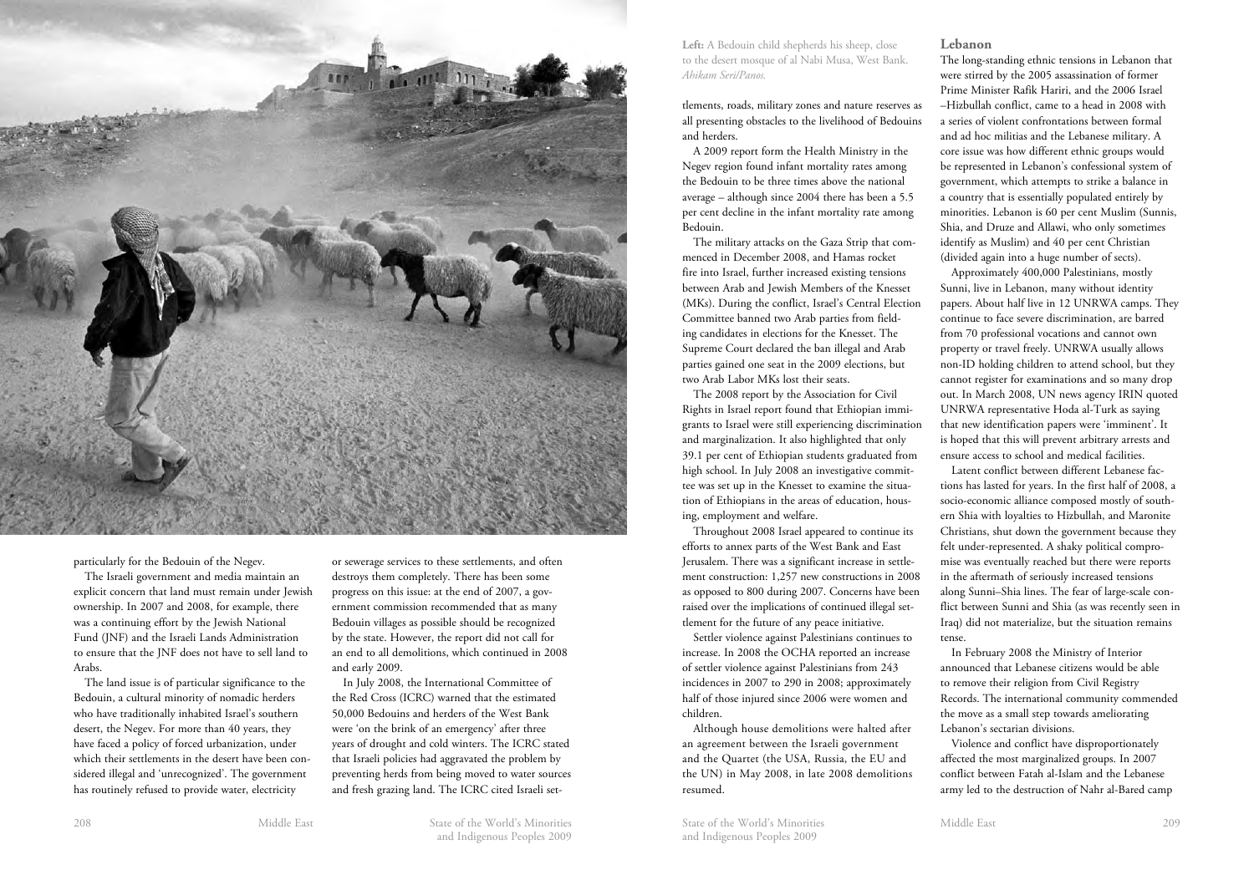

particularly for the Bedouin of the Negev.

The Israeli government and media maintain an explicit concern that land must remain under Jewish ownership. In 2007 and 2008, for example, there was a continuing effort by the Jewish National Fund (JNF) and the Israeli Lands Administration to ensure that the JNF does not have to sell land to Arabs.

The land issue is of particular significance to the Bedouin, a cultural minority of nomadic herders who have traditionally inhabited Israel's southern desert, the Negev. For more than 40 years, they have faced a policy of forced urbanization, under which their settlements in the desert have been considered illegal and 'unrecognized'. The government has routinely refused to provide water, electricity

or sewerage services to these settlements, and often destroys them completely. There has been some progress on this issue: at the end of 2007, a government commission recommended that as many Bedouin villages as possible should be recognized by the state. However, the report did not call for an end to all demolitions, which continued in 2008 and early 2009.

In July 2008, the International Committee of the Red Cross (ICRC) warned that the estimated 50,000 Bedouins and herders of the West Bank were 'on the brink of an emergency' after three years of drought and cold winters. The ICRC stated that Israeli policies had aggravated the problem by preventing herds from being moved to water sources and fresh grazing land. The ICRC cited Israeli set**Left:** A Bedouin child shepherds his sheep, close to the desert mosque of al Nabi Musa, West Bank. *Ahikam Seri/Panos.*

tlements, roads, military zones and nature reserves as all presenting obstacles to the livelihood of Bedouins and herders.

A 2009 report form the Health Ministry in the Negev region found infant mortality rates among the Bedouin to be three times above the national average – although since 2004 there has been a 5.5 per cent decline in the infant mortality rate among Bedouin.

The military attacks on the Gaza Strip that commenced in December 2008, and Hamas rocket fire into Israel, further increased existing tensions between Arab and Jewish Members of the Knesset (MKs). During the conflict, Israel's Central Election Committee banned two Arab parties from fielding candidates in elections for the Knesset. The Supreme Court declared the ban illegal and Arab parties gained one seat in the 2009 elections, but two Arab Labor MKs lost their seats.

The 2008 report by the Association for Civil Rights in Israel report found that Ethiopian immigrants to Israel were still experiencing discrimination and marginalization. It also highlighted that only 39.1 per cent of Ethiopian students graduated from high school. In July 2008 an investigative committee was set up in the Knesset to examine the situation of Ethiopians in the areas of education, housing, employment and welfare.

Throughout 2008 Israel appeared to continue its efforts to annex parts of the West Bank and East Jerusalem. There was a significant increase in settlement construction: 1,257 new constructions in 2008 as opposed to 800 during 2007. Concerns have been raised over the implications of continued illegal settlement for the future of any peace initiative.

Settler violence against Palestinians continues to increase. In 2008 the OCHA reported an increase of settler violence against Palestinians from 243 incidences in 2007 to 290 in 2008; approximately half of those injured since 2006 were women and children.

Although house demolitions were halted after an agreement between the Israeli government and the Quartet (the USA, Russia, the EU and the UN) in May 2008, in late 2008 demolitions resumed.

#### **Lebanon**

The long-standing ethnic tensions in Lebanon that were stirred by the 2005 assassination of former Prime Minister Rafik Hariri, and the 2006 Israel –Hizbullah conflict, came to a head in 2008 with a series of violent confrontations between formal and ad hoc militias and the Lebanese military. A core issue was how different ethnic groups would be represented in Lebanon's confessional system of government, which attempts to strike a balance in a country that is essentially populated entirely by minorities. Lebanon is 60 per cent Muslim (Sunnis, Shia, and Druze and Allawi, who only sometimes identify as Muslim) and 40 per cent Christian (divided again into a huge number of sects).

Approximately 400,000 Palestinians, mostly Sunni, live in Lebanon, many without identity papers. About half live in 12 UNRWA camps. They continue to face severe discrimination, are barred from 70 professional vocations and cannot own property or travel freely. UNRWA usually allows non-ID holding children to attend school, but they cannot register for examinations and so many drop out. In March 2008, UN news agency IRIN quoted UNRWA representative Hoda al-Turk as saying that new identification papers were 'imminent'. It is hoped that this will prevent arbitrary arrests and ensure access to school and medical facilities.

Latent conflict between different Lebanese factions has lasted for years. In the first half of 2008, a socio-economic alliance composed mostly of southern Shia with loyalties to Hizbullah, and Maronite Christians, shut down the government because they felt under-represented. A shaky political compromise was eventually reached but there were reports in the aftermath of seriously increased tensions along Sunni–Shia lines. The fear of large-scale conflict between Sunni and Shia (as was recently seen in Iraq) did not materialize, but the situation remains tense.

In February 2008 the Ministry of Interior announced that Lebanese citizens would be able to remove their religion from Civil Registry Records. The international community commended the move as a small step towards ameliorating Lebanon's sectarian divisions.

Violence and conflict have disproportionately affected the most marginalized groups. In 2007 conflict between Fatah al-Islam and the Lebanese army led to the destruction of Nahr al-Bared camp

Middle East State of the World's Minorities and Indigenous Peoples 2009 208 208 Middle East Middle East State of the World's Minorities State of the World's Minorities Middle East

and Indigenous Peoples 2009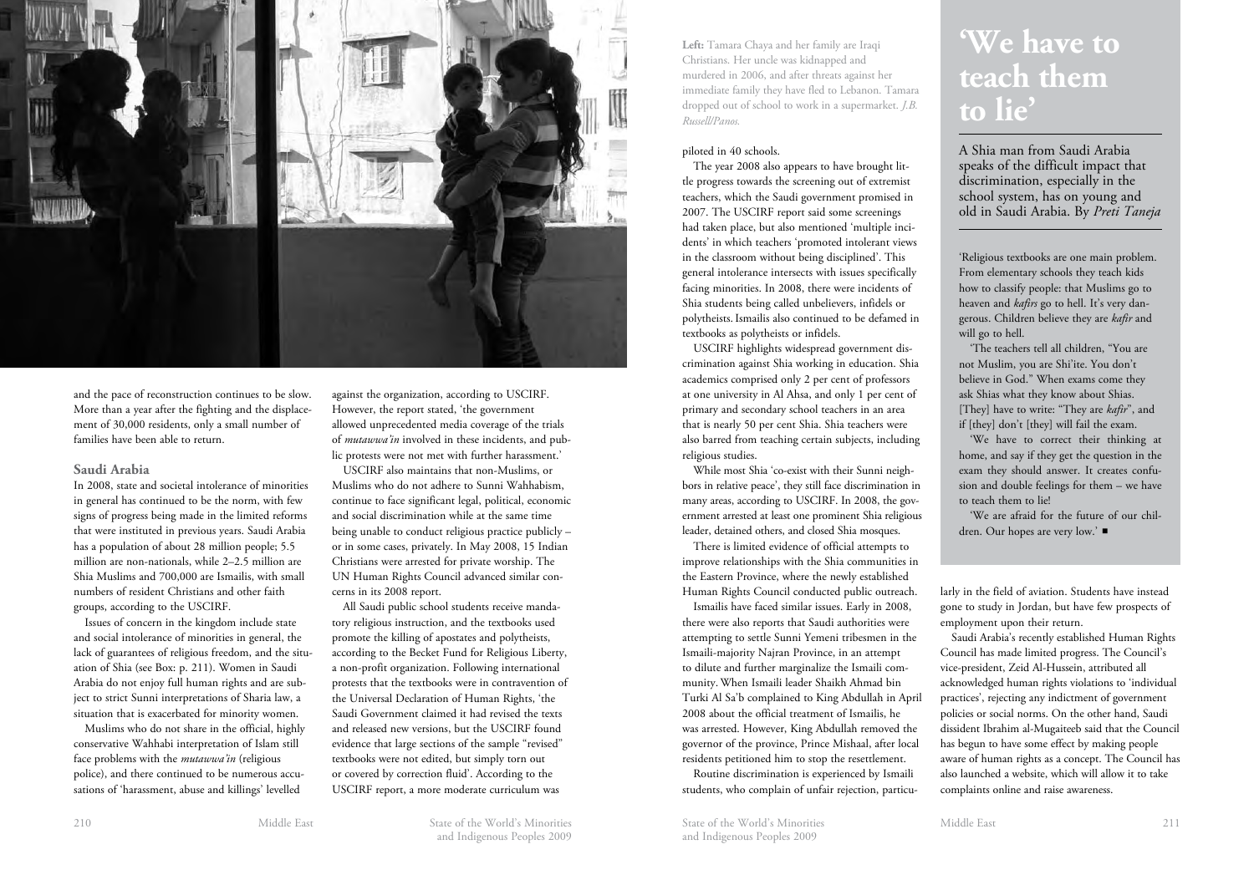

and the pace of reconstruction continues to be slow. More than a year after the fighting and the displacement of 30,000 residents, only a small number of families have been able to return.

#### **Saudi Arabia**

In 2008, state and societal intolerance of minorities in general has continued to be the norm, with few signs of progress being made in the limited reforms that were instituted in previous years. Saudi Arabia has a population of about 28 million people; 5.5 million are non-nationals, while 2–2.5 million are Shia Muslims and 700,000 are Ismailis, with small numbers of resident Christians and other faith groups, according to the USCIRF.

Issues of concern in the kingdom include state and social intolerance of minorities in general, the lack of guarantees of religious freedom, and the situation of Shia (see Box: p. 211). Women in Saudi Arabia do not enjoy full human rights and are subject to strict Sunni interpretations of Sharia law, a situation that is exacerbated for minority women.

Muslims who do not share in the official, highly conservative Wahhabi interpretation of Islam still face problems with the *mutawwa'in* (religious police), and there continued to be numerous accusations of 'harassment, abuse and killings' levelled

against the organization, according to USCIRF. However, the report stated, 'the government allowed unprecedented media coverage of the trials of *mutawwa'in* involved in these incidents, and public protests were not met with further harassment.'

USCIRF also maintains that non-Muslims, or Muslims who do not adhere to Sunni Wahhabism, continue to face significant legal, political, economic and social discrimination while at the same time being unable to conduct religious practice publicly – or in some cases, privately. In May 2008, 15 Indian Christians were arrested for private worship. The UN Human Rights Council advanced similar concerns in its 2008 report.

All Saudi public school students receive mandatory religious instruction, and the textbooks used promote the killing of apostates and polytheists, according to the Becket Fund for Religious Liberty, a non-profit organization. Following international protests that the textbooks were in contravention of the Universal Declaration of Human Rights, 'the Saudi Government claimed it had revised the texts and released new versions, but the USCIRF found evidence that large sections of the sample "revised" textbooks were not edited, but simply torn out or covered by correction fluid'. According to the USCIRF report, a more moderate curriculum was

**Left:** Tamara Chaya and her family are Iraqi Christians. Her uncle was kidnapped and murdered in 2006, and after threats against her immediate family they have fled to Lebanon. Tamara dropped out of school to work in a supermarket. *J.B. Russell/Panos.*

## piloted in 40 schools.

The year 2008 also appears to have brought little progress towards the screening out of extremist teachers, which the Saudi government promised in 2007. The USCIRF report said some screenings had taken place, but also mentioned 'multiple incidents' in which teachers 'promoted intolerant views in the classroom without being disciplined'. This general intolerance intersects with issues specifically facing minorities. In 2008, there were incidents of Shia students being called unbelievers, infidels or polytheists.Ismailis also continued to be defamed in textbooks as polytheists or infidels.

USCIRF highlights widespread government discrimination against Shia working in education. Shia academics comprised only 2 per cent of professors at one university in Al Ahsa, and only 1 per cent of primary and secondary school teachers in an area that is nearly 50 per cent Shia. Shia teachers were also barred from teaching certain subjects, including religious studies.

While most Shia 'co-exist with their Sunni neighbors in relative peace', they still face discrimination in many areas, according to USCIRF. In 2008, the government arrested at least one prominent Shia religious leader, detained others, and closed Shia mosques.

There is limited evidence of official attempts to improve relationships with the Shia communities in the Eastern Province, where the newly established Human Rights Council conducted public outreach.

Ismailis have faced similar issues. Early in 2008, there were also reports that Saudi authorities were attempting to settle Sunni Yemeni tribesmen in the Ismaili-majority Najran Province, in an attempt to dilute and further marginalize the Ismaili community. When Ismaili leader Shaikh Ahmad bin Turki Al Sa'b complained to King Abdullah in April 2008 about the official treatment of Ismailis, he was arrested. However, King Abdullah removed the governor of the province, Prince Mishaal, after local residents petitioned him to stop the resettlement.

Routine discrimination is experienced by Ismaili students, who complain of unfair rejection, particuA Shia man from Saudi Arabia speaks of the difficult impact that discrimination, especially in the school system, has on young and old in Saudi Arabia. By *Preti Taneja*

'Religious textbooks are one main problem. From elementary schools they teach kids how to classify people: that Muslims go to heaven and *kafirs* go to hell. It's very dangerous. Children believe they are *kafir* and will go to hell.

'The teachers tell all children, "You are not Muslim, you are Shi'ite. You don't believe in God." When exams come they ask Shias what they know about Shias. [They] have to write: "They are *kafir*", and if [they] don't [they] will fail the exam.

'We have to correct their thinking at home, and say if they get the question in the exam they should answer. It creates confusion and double feelings for them – we have to teach them to lie!

'We are afraid for the future of our children. Our hopes are very low.' ■

larly in the field of aviation. Students have instead gone to study in Jordan, but have few prospects of employment upon their return.

Saudi Arabia's recently established Human Rights Council has made limited progress. The Council's vice-president, Zeid Al-Hussein, attributed all acknowledged human rights violations to 'individual practices', rejecting any indictment of government policies or social norms. On the other hand, Saudi dissident Ibrahim al-Mugaiteeb said that the Council has begun to have some effect by making people aware of human rights as a concept. The Council has also launched a website, which will allow it to take complaints online and raise awareness.

Middle East State of the World's Minorities 210 State of the World's Minorities Middle East and Indigenous Peoples 2009

and Indigenous Peoples 2009

211